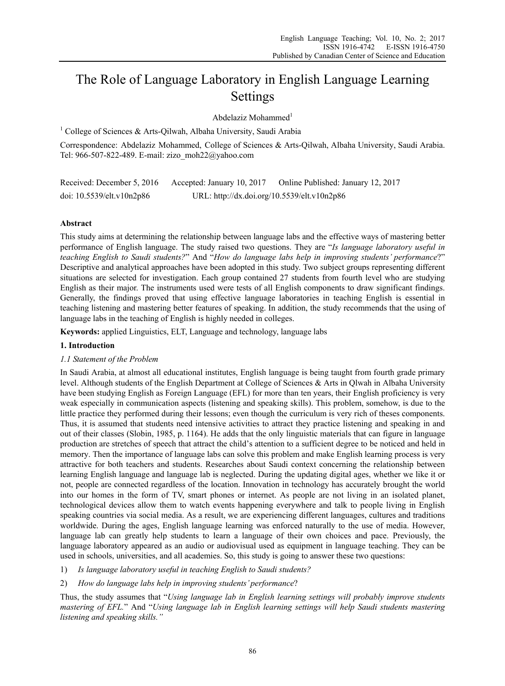# The Role of Language Laboratory in English Language Learning Settings

Abdelaziz Mohammed $1$ 

<sup>1</sup> College of Sciences & Arts-Qilwah, Albaha University, Saudi Arabia

Correspondence: Abdelaziz Mohammed, College of Sciences & Arts-Qilwah, Albaha University, Saudi Arabia. Tel: 966-507-822-489. E-mail: zizo\_moh22@yahoo.com

Received: December 5, 2016 Accepted: January 10, 2017 Online Published: January 12, 2017 doi: 10.5539/elt.v10n2p86 URL: http://dx.doi.org/10.5539/elt.v10n2p86

#### **Abstract**

This study aims at determining the relationship between language labs and the effective ways of mastering better performance of English language. The study raised two questions. They are "*Is language laboratory useful in teaching English to Saudi students?*" And "*How do language labs help in improving students' performance*?" Descriptive and analytical approaches have been adopted in this study. Two subject groups representing different situations are selected for investigation. Each group contained 27 students from fourth level who are studying English as their major. The instruments used were tests of all English components to draw significant findings. Generally, the findings proved that using effective language laboratories in teaching English is essential in teaching listening and mastering better features of speaking. In addition, the study recommends that the using of language labs in the teaching of English is highly needed in colleges.

**Keywords:** applied Linguistics, ELT, Language and technology, language labs

#### **1. Introduction**

#### *1.1 Statement of the Problem*

In Saudi Arabia, at almost all educational institutes, English language is being taught from fourth grade primary level. Although students of the English Department at College of Sciences & Arts in Qlwah in Albaha University have been studying English as Foreign Language (EFL) for more than ten years, their English proficiency is very weak especially in communication aspects (listening and speaking skills). This problem, somehow, is due to the little practice they performed during their lessons; even though the curriculum is very rich of theses components. Thus, it is assumed that students need intensive activities to attract they practice listening and speaking in and out of their classes (Slobin, 1985, p. 1164). He adds that the only linguistic materials that can figure in language production are stretches of speech that attract the child's attention to a sufficient degree to be noticed and held in memory. Then the importance of language labs can solve this problem and make English learning process is very attractive for both teachers and students. Researches about Saudi context concerning the relationship between learning English language and language lab is neglected. During the updating digital ages, whether we like it or not, people are connected regardless of the location. Innovation in technology has accurately brought the world into our homes in the form of TV, smart phones or internet. As people are not living in an isolated planet, technological devices allow them to watch events happening everywhere and talk to people living in English speaking countries via social media. As a result, we are experiencing different languages, cultures and traditions worldwide. During the ages, English language learning was enforced naturally to the use of media. However, language lab can greatly help students to learn a language of their own choices and pace. Previously, the language laboratory appeared as an audio or audiovisual used as equipment in language teaching. They can be used in schools, universities, and all academies. So, this study is going to answer these two questions:

1) *Is language laboratory useful in teaching English to Saudi students?*

2) *How do language labs help in improving students' performance*?

Thus, the study assumes that "*Using language lab in English learning settings will probably improve students mastering of EFL.*" And "*Using language lab in English learning settings will help Saudi students mastering listening and speaking skills."*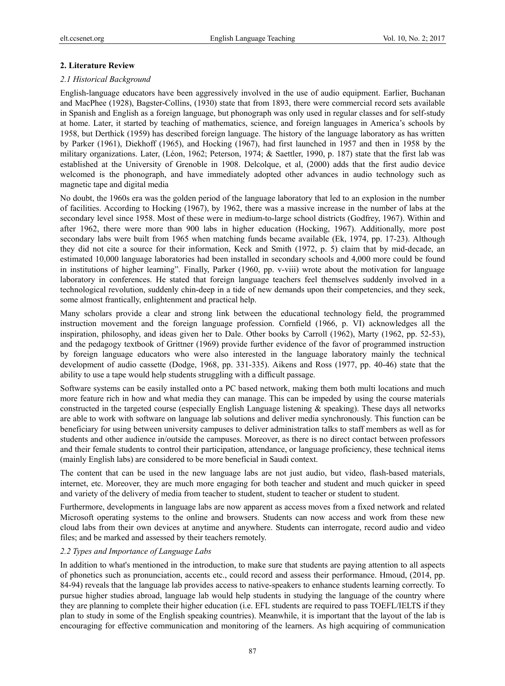#### **2. Literature Review**

#### *2.1 Historical Background*

English-language educators have been aggressively involved in the use of audio equipment. Earlier, Buchanan and MacPhee (1928), Bagster-Collins, (1930) state that from 1893, there were commercial record sets available in Spanish and English as a foreign language, but phonograph was only used in regular classes and for self-study at home. Later, it started by teaching of mathematics, science, and foreign languages in America's schools by 1958, but Derthick (1959) has described foreign language. The history of the language laboratory as has written by Parker (1961), Diekhoff (1965), and Hocking (1967), had first launched in 1957 and then in 1958 by the military organizations. Later, (Léon, 1962; Peterson, 1974; & Saettler, 1990, p. 187) state that the first lab was established at the University of Grenoble in 1908. Delcolque, et al, (2000) adds that the first audio device welcomed is the phonograph, and have immediately adopted other advances in audio technology such as magnetic tape and digital media

No doubt, the 1960s era was the golden period of the language laboratory that led to an explosion in the number of facilities. According to Hocking (1967), by 1962, there was a massive increase in the number of labs at the secondary level since 1958. Most of these were in medium-to-large school districts (Godfrey, 1967). Within and after 1962, there were more than 900 labs in higher education (Hocking, 1967). Additionally, more post secondary labs were built from 1965 when matching funds became available (Ek, 1974, pp. 17-23). Although they did not cite a source for their information, Keck and Smith (1972, p. 5) claim that by mid-decade, an estimated 10,000 language laboratories had been installed in secondary schools and 4,000 more could be found in institutions of higher learning". Finally, Parker (1960, pp. v-viii) wrote about the motivation for language laboratory in conferences. He stated that foreign language teachers feel themselves suddenly involved in a technological revolution, suddenly chin-deep in a tide of new demands upon their competencies, and they seek, some almost frantically, enlightenment and practical help.

Many scholars provide a clear and strong link between the educational technology field, the programmed instruction movement and the foreign language profession. Cornfield (1966, p. VI) acknowledges all the inspiration, philosophy, and ideas given her to Dale. Other books by Carroll (1962), Marty (1962, pp. 52-53), and the pedagogy textbook of Grittner (1969) provide further evidence of the favor of programmed instruction by foreign language educators who were also interested in the language laboratory mainly the technical development of audio cassette (Dodge, 1968, pp. 331-335). Aikens and Ross (1977, pp. 40-46) state that the ability to use a tape would help students struggling with a difficult passage.

Software systems can be easily installed onto a PC based network, making them both multi locations and much more feature rich in how and what media they can manage. This can be impeded by using the course materials constructed in the targeted course (especially English Language listening & speaking). These days all networks are able to work with software on language lab solutions and deliver media synchronously. This function can be beneficiary for using between university campuses to deliver administration talks to staff members as well as for students and other audience in/outside the campuses. Moreover, as there is no direct contact between professors and their female students to control their participation, attendance, or language proficiency, these technical items (mainly English labs) are considered to be more beneficial in Saudi context.

The content that can be used in the new language labs are not just audio, but video, flash-based materials, internet, etc. Moreover, they are much more engaging for both teacher and student and much quicker in speed and variety of the delivery of media from teacher to student, student to teacher or student to student.

Furthermore, developments in language labs are now apparent as access moves from a fixed network and related Microsoft operating systems to the online and browsers. Students can now access and work from these new cloud labs from their own devices at anytime and anywhere. Students can interrogate, record audio and video files; and be marked and assessed by their teachers remotely.

#### *2.2 Types and Importance of Language Labs*

In addition to what's mentioned in the introduction, to make sure that students are paying attention to all aspects of phonetics such as pronunciation, accents etc., could record and assess their performance. Hmoud, (2014, pp. 84-94) reveals that the language lab provides access to native-speakers to enhance students learning correctly. To pursue higher studies abroad, language lab would help students in studying the language of the country where they are planning to complete their higher education (i.e. EFL students are required to pass TOEFL/IELTS if they plan to study in some of the English speaking countries). Meanwhile, it is important that the layout of the lab is encouraging for effective communication and monitoring of the learners. As high acquiring of communication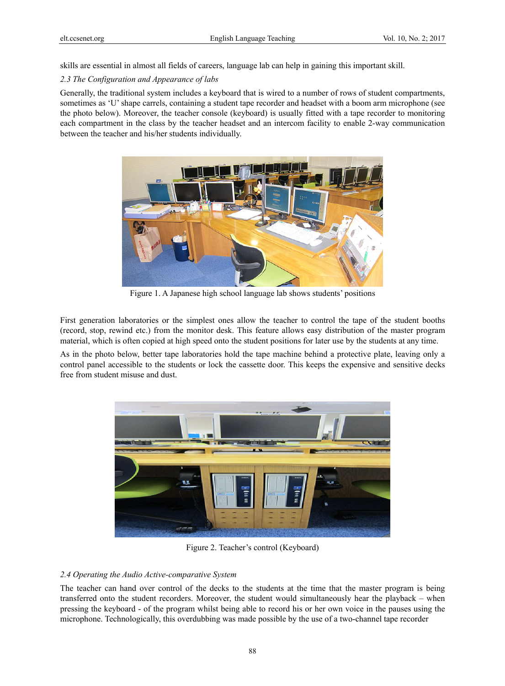skills are essential in almost all fields of careers, language lab can help in gaining this important skill.

#### *2.3 The Configuration and Appearance of labs*

Generally, the traditional system includes a keyboard that is wired to a number of rows of student compartments, sometimes as 'U' shape carrels, containing a student tape recorder and headset with a boom arm microphone (see the photo below). Moreover, the teacher console (keyboard) is usually fitted with a tape recorder to monitoring each compartment in the class by the teacher headset and an intercom facility to enable 2-way communication between the teacher and his/her students individually.



Figure 1. A Japanese high school language lab shows students' positions

First generation laboratories or the simplest ones allow the teacher to control the tape of the student booths (record, stop, rewind etc.) from the monitor desk. This feature allows easy distribution of the master program material, which is often copied at high speed onto the student positions for later use by the students at any time.

As in the photo below, better tape laboratories hold the tape machine behind a protective plate, leaving only a control panel accessible to the students or lock the cassette door. This keeps the expensive and sensitive decks free from student misuse and dust.



Figure 2. Teacher's control (Keyboard)

#### *2.4 Operating the Audio Active-comparative System*

The teacher can hand over control of the decks to the students at the time that the master program is being transferred onto the student recorders. Moreover, the student would simultaneously hear the playback – when pressing the keyboard - of the program whilst being able to record his or her own voice in the pauses using the microphone. Technologically, this overdubbing was made possible by the use of a two-channel tape recorder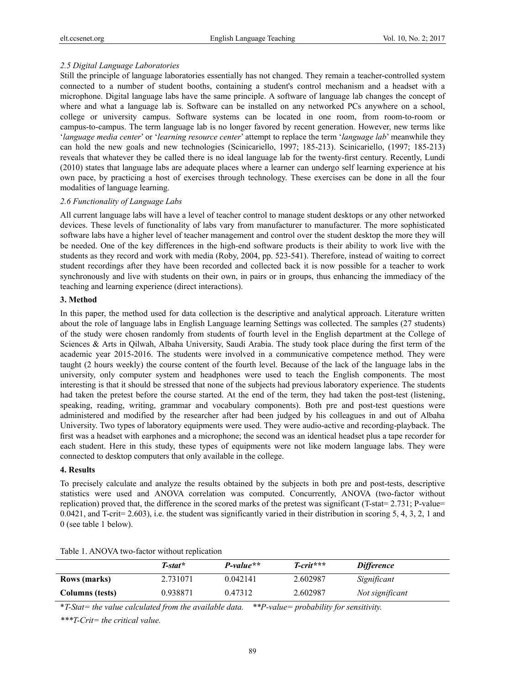#### *2.5 Digital Language Laboratories*

Still the principle of language laboratories essentially has not changed. They remain a teacher-controlled system connected to a number of student booths, containing a student's control mechanism and a headset with a microphone. Digital language labs have the same principle. A software of language lab changes the concept of where and what a language lab is. Software can be installed on any networked PCs anywhere on a school, college or university campus. Software systems can be located in one room, from room-to-room or campus-to-campus. The term language lab is no longer favored by recent generation. However, new terms like '*language media center*' or '*learning resource center*' attempt to replace the term '*language lab*' meanwhile they can hold the new goals and new technologies (Scinicariello, 1997; 185-213). Scinicariello, (1997; 185-213) reveals that whatever they be called there is no ideal language lab for the twenty-first century. Recently, Lundi (2010) states that language labs are adequate places where a learner can undergo self learning experience at his own pace, by practicing a host of exercises through technology. These exercises can be done in all the four modalities of language learning.

#### *2.6 Functionality of Language Labs*

All current language labs will have a level of teacher control to manage student desktops or any other networked devices. These levels of functionality of labs vary from manufacturer to manufacturer. The more sophisticated software labs have a higher level of teacher management and control over the student desktop the more they will be needed. One of the key differences in the high-end software products is their ability to work live with the students as they record and work with media (Roby, 2004, pp. 523-541). Therefore, instead of waiting to correct student recordings after they have been recorded and collected back it is now possible for a teacher to work synchronously and live with students on their own, in pairs or in groups, thus enhancing the immediacy of the teaching and learning experience (direct interactions).

#### **3. Method**

In this paper, the method used for data collection is the descriptive and analytical approach. Literature written about the role of language labs in English Language learning Settings was collected. The samples (27 students) of the study were chosen randomly from students of fourth level in the English department at the College of Sciences & Arts in Qilwah, Albaha University, Saudi Arabia. The study took place during the first term of the academic year 2015-2016. The students were involved in a communicative competence method. They were taught (2 hours weekly) the course content of the fourth level. Because of the lack of the language labs in the university, only computer system and headphones were used to teach the English components. The most interesting is that it should be stressed that none of the subjects had previous laboratory experience. The students had taken the pretest before the course started. At the end of the term, they had taken the post-test (listening, speaking, reading, writing, grammar and vocabulary components). Both pre and post-test questions were administered and modified by the researcher after had been judged by his colleagues in and out of Albaha University. Two types of laboratory equipments were used. They were audio-active and recording-playback. The first was a headset with earphones and a microphone; the second was an identical headset plus a tape recorder for each student. Here in this study, these types of equipments were not like modern language labs. They were connected to desktop computers that only available in the college.

#### **4. Results**

To precisely calculate and analyze the results obtained by the subjects in both pre and post-tests, descriptive statistics were used and ANOVA correlation was computed. Concurrently, ANOVA (two-factor without replication) proved that, the difference in the scored marks of the pretest was significant (T-stat= 2.731; P-value=  $0.0421$ , and T-crit= 2.603), i.e. the student was significantly varied in their distribution in scoring 5, 4, 3, 2, 1 and 0 (see table 1 below).

|                     | $T$ -stat* | $P-value**$ | $T$ -crit*** | <i>Difference</i> |
|---------------------|------------|-------------|--------------|-------------------|
| <b>Rows</b> (marks) | 2.731071   | 0.042141    | 2.602987     | Significant       |
| Columns (tests)     | 0.938871   | 0.47312     | 2.602987     | Not significant   |

#### Table 1. ANOVA two-factor without replication

\**T-Stat= the value calculated from the available data. \*\*P-value= probability for sensitivity.* 

*\*\*\*T-Crit= the critical value.*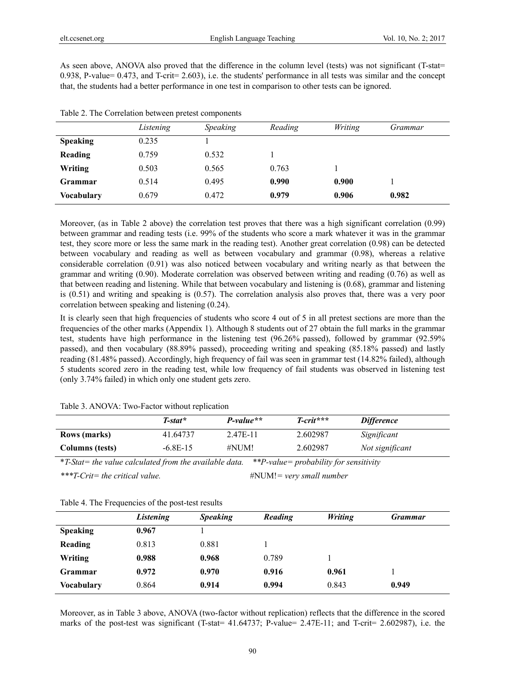As seen above, ANOVA also proved that the difference in the column level (tests) was not significant (T-stat= 0.938, P-value= 0.473, and T-crit= 2.603), i.e. the students' performance in all tests was similar and the concept that, the students had a better performance in one test in comparison to other tests can be ignored.

|                   | Listening | <b>Speaking</b> | Reading | Writing | <i>Grammar</i> |
|-------------------|-----------|-----------------|---------|---------|----------------|
| <b>Speaking</b>   | 0.235     |                 |         |         |                |
| Reading           | 0.759     | 0.532           |         |         |                |
| Writing           | 0.503     | 0.565           | 0.763   |         |                |
| <b>Grammar</b>    | 0.514     | 0.495           | 0.990   | 0.900   |                |
| <b>Vocabulary</b> | 0.679     | 0.472           | 0.979   | 0.906   | 0.982          |

| Table 2. The Correlation between pretest components |  |
|-----------------------------------------------------|--|
|-----------------------------------------------------|--|

Moreover, (as in Table 2 above) the correlation test proves that there was a high significant correlation (0.99) between grammar and reading tests (i.e. 99% of the students who score a mark whatever it was in the grammar test, they score more or less the same mark in the reading test). Another great correlation (0.98) can be detected between vocabulary and reading as well as between vocabulary and grammar (0.98), whereas a relative considerable correlation (0.91) was also noticed between vocabulary and writing nearly as that between the grammar and writing (0.90). Moderate correlation was observed between writing and reading (0.76) as well as that between reading and listening. While that between vocabulary and listening is (0.68), grammar and listening is (0.51) and writing and speaking is (0.57). The correlation analysis also proves that, there was a very poor correlation between speaking and listening (0.24).

It is clearly seen that high frequencies of students who score 4 out of 5 in all pretest sections are more than the frequencies of the other marks (Appendix 1). Although 8 students out of 27 obtain the full marks in the grammar test, students have high performance in the listening test (96.26% passed), followed by grammar (92.59% passed), and then vocabulary (88.89% passed), proceeding writing and speaking (85.18% passed) and lastly reading (81.48% passed). Accordingly, high frequency of fail was seen in grammar test (14.82% failed), although 5 students scored zero in the reading test, while low frequency of fail students was observed in listening test (only 3.74% failed) in which only one student gets zero.

| Table 3. ANOVA: Two-Factor without replication |  |  |  |
|------------------------------------------------|--|--|--|
|------------------------------------------------|--|--|--|

|                                                                                                      | $T$ -stat* | $P-value**$ | $T$ -crit $***$              | <b>Difference</b> |  |  |
|------------------------------------------------------------------------------------------------------|------------|-------------|------------------------------|-------------------|--|--|
| <b>Rows</b> (marks)                                                                                  | 41.64737   | 2.47E-11    | 2.602987                     | Significant       |  |  |
| <b>Columns</b> (tests)                                                                               | $-6.8E-15$ | $\#$ NUM!   | 2.602987                     | Not significant   |  |  |
| $*T$ -Stat = the value calculated from the available data.<br>**P-value= probability for sensitivity |            |             |                              |                   |  |  |
| ***T-Crit= the critical value.                                                                       |            |             | $\#NUM! = very small number$ |                   |  |  |

|  |  |  |  | Table 4. The Frequencies of the post-test results |
|--|--|--|--|---------------------------------------------------|
|--|--|--|--|---------------------------------------------------|

|                   | <b>Listening</b> | <b>Speaking</b> | Reading | <b>Writing</b> | <b>Grammar</b> |
|-------------------|------------------|-----------------|---------|----------------|----------------|
| <b>Speaking</b>   | 0.967            |                 |         |                |                |
| Reading           | 0.813            | 0.881           |         |                |                |
| Writing           | 0.988            | 0.968           | 0.789   |                |                |
| <b>Grammar</b>    | 0.972            | 0.970           | 0.916   | 0.961          |                |
| <b>Vocabulary</b> | 0.864            | 0.914           | 0.994   | 0.843          | 0.949          |

Moreover, as in Table 3 above, ANOVA (two-factor without replication) reflects that the difference in the scored marks of the post-test was significant (T-stat= 41.64737; P-value= 2.47E-11; and T-crit= 2.602987), i.e. the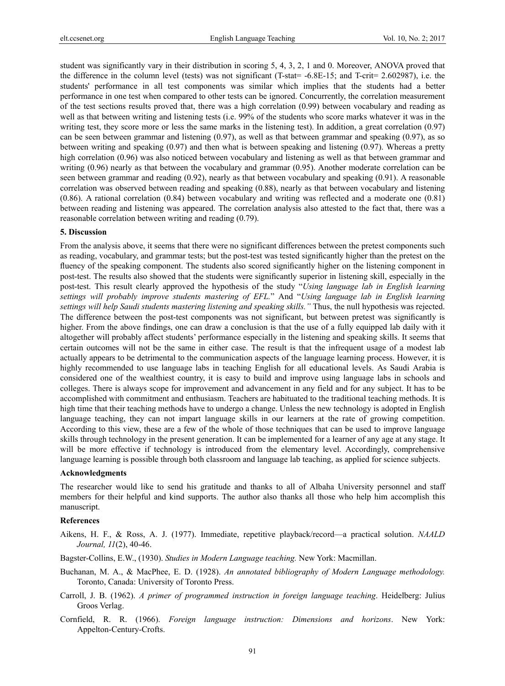student was significantly vary in their distribution in scoring 5, 4, 3, 2, 1 and 0. Moreover, ANOVA proved that the difference in the column level (tests) was not significant (T-stat= -6.8E-15; and T-crit= 2.602987), i.e. the students' performance in all test components was similar which implies that the students had a better performance in one test when compared to other tests can be ignored. Concurrently, the correlation measurement of the test sections results proved that, there was a high correlation (0.99) between vocabulary and reading as well as that between writing and listening tests (i.e. 99% of the students who score marks whatever it was in the writing test, they score more or less the same marks in the listening test). In addition, a great correlation (0.97) can be seen between grammar and listening (0.97), as well as that between grammar and speaking (0.97), as so between writing and speaking (0.97) and then what is between speaking and listening (0.97). Whereas a pretty high correlation (0.96) was also noticed between vocabulary and listening as well as that between grammar and writing (0.96) nearly as that between the vocabulary and grammar (0.95). Another moderate correlation can be seen between grammar and reading (0.92), nearly as that between vocabulary and speaking (0.91). A reasonable correlation was observed between reading and speaking (0.88), nearly as that between vocabulary and listening (0.86). A rational correlation (0.84) between vocabulary and writing was reflected and a moderate one (0.81) between reading and listening was appeared. The correlation analysis also attested to the fact that, there was a reasonable correlation between writing and reading (0.79).

#### **5. Discussion**

From the analysis above, it seems that there were no significant differences between the pretest components such as reading, vocabulary, and grammar tests; but the post-test was tested significantly higher than the pretest on the fluency of the speaking component. The students also scored significantly higher on the listening component in post-test. The results also showed that the students were significantly superior in listening skill, especially in the post-test. This result clearly approved the hypothesis of the study "*Using language lab in English learning settings will probably improve students mastering of EFL.*" And "*Using language lab in English learning settings will help Saudi students mastering listening and speaking skills."* Thus, the null hypothesis was rejected. The difference between the post-test components was not significant, but between pretest was significantly is higher. From the above findings, one can draw a conclusion is that the use of a fully equipped lab daily with it altogether will probably affect students' performance especially in the listening and speaking skills. It seems that certain outcomes will not be the same in either case. The result is that the infrequent usage of a modest lab actually appears to be detrimental to the communication aspects of the language learning process. However, it is highly recommended to use language labs in teaching English for all educational levels. As Saudi Arabia is considered one of the wealthiest country, it is easy to build and improve using language labs in schools and colleges. There is always scope for improvement and advancement in any field and for any subject. It has to be accomplished with commitment and enthusiasm. Teachers are habituated to the traditional teaching methods. It is high time that their teaching methods have to undergo a change. Unless the new technology is adopted in English language teaching, they can not impart language skills in our learners at the rate of growing competition. According to this view, these are a few of the whole of those techniques that can be used to improve language skills through technology in the present generation. It can be implemented for a learner of any age at any stage. It will be more effective if technology is introduced from the elementary level. Accordingly, comprehensive language learning is possible through both classroom and language lab teaching, as applied for science subjects.

#### **Acknowledgments**

The researcher would like to send his gratitude and thanks to all of Albaha University personnel and staff members for their helpful and kind supports. The author also thanks all those who help him accomplish this manuscript.

#### **References**

Aikens, H. F., & Ross, A. J. (1977). Immediate, repetitive playback/record—a practical solution. *NAALD Journal, 11*(2), 40-46.

Bagster-Collins, E.W., (1930). *Studies in Modern Language teaching.* New York: Macmillan.

- Buchanan, M. A., & MacPhee, E. D. (1928). *An annotated bibliography of Modern Language methodology.*  Toronto, Canada: University of Toronto Press.
- Carroll, J. B. (1962). *A primer of programmed instruction in foreign language teaching*. Heidelberg: Julius Groos Verlag.
- Cornfield, R. R. (1966). *Foreign language instruction: Dimensions and horizons*. New York: Appelton-Century-Crofts.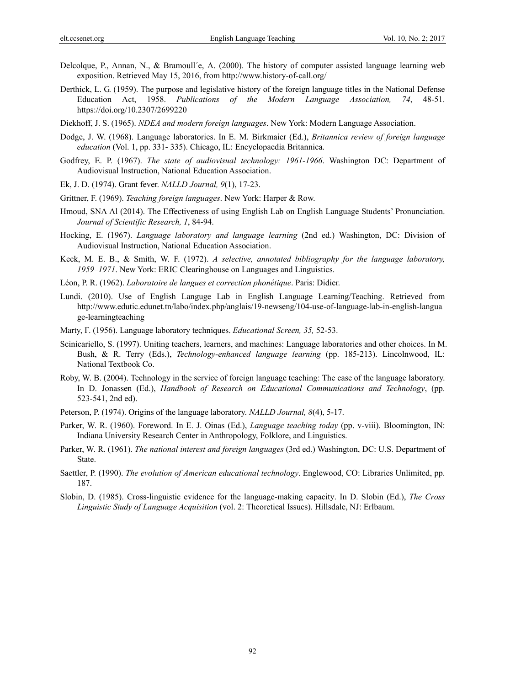- Delcolque, P., Annan, N., & Bramoull´e, A. (2000). The history of computer assisted language learning web exposition. Retrieved May 15, 2016, from http://www.history-of-call.org/
- Derthick, L. G. (1959). The purpose and legislative history of the foreign language titles in the National Defense Education Act, 1958. *Publications of the Modern Language Association, 74*, 48-51. https://doi.org/10.2307/2699220
- Diekhoff, J. S. (1965). *NDEA and modern foreign languages*. New York: Modern Language Association.
- Dodge, J. W. (1968). Language laboratories. In E. M. Birkmaier (Ed.), *Britannica review of foreign language education* (Vol. 1, pp. 331- 335). Chicago, IL: Encyclopaedia Britannica.
- Godfrey, E. P. (1967). *The state of audiovisual technology: 1961-1966*. Washington DC: Department of Audiovisual Instruction, National Education Association.
- Ek, J. D. (1974). Grant fever. *NALLD Journal, 9*(1), 17-23.
- Grittner, F. (1969). *Teaching foreign languages*. New York: Harper & Row.
- Hmoud, SNA Al (2014). The Effectiveness of using English Lab on English Language Students' Pronunciation. *Journal of Scientific Research, 1*, 84-94.
- Hocking, E. (1967). *Language laboratory and language learning* (2nd ed.) Washington, DC: Division of Audiovisual Instruction, National Education Association.
- Keck, M. E. B., & Smith, W. F. (1972). *A selective, annotated bibliography for the language laboratory, 1959–1971*. New York: ERIC Clearinghouse on Languages and Linguistics.
- Léon, P. R. (1962). *Laboratoire de langues et correction phonétique*. Paris: Didier.
- Lundi. (2010). Use of English Languge Lab in English Language Learning/Teaching. Retrieved from http://www.edutic.edunet.tn/labo/index.php/anglais/19-newseng/104-use-of-language-lab-in-english-langua ge-learningteaching
- Marty, F. (1956). Language laboratory techniques. *Educational Screen, 35,* 52-53.
- Scinicariello, S. (1997). Uniting teachers, learners, and machines: Language laboratories and other choices. In M. Bush, & R. Terry (Eds.), *Technology-enhanced language learning* (pp. 185-213). Lincolnwood, IL: National Textbook Co.
- Roby, W. B. (2004). Technology in the service of foreign language teaching: The case of the language laboratory. In D. Jonassen (Ed.), *Handbook of Research on Educational Communications and Technology*, (pp. 523-541, 2nd ed).
- Peterson, P. (1974). Origins of the language laboratory. *NALLD Journal, 8*(4), 5-17.
- Parker, W. R. (1960). Foreword. In E. J. Oinas (Ed.), *Language teaching today* (pp. v-viii). Bloomington, IN: Indiana University Research Center in Anthropology, Folklore, and Linguistics.
- Parker, W. R. (1961). *The national interest and foreign languages* (3rd ed.) Washington, DC: U.S. Department of State.
- Saettler, P. (1990). *The evolution of American educational technology*. Englewood, CO: Libraries Unlimited, pp. 187.
- Slobin, D. (1985). Cross-linguistic evidence for the language-making capacity. In D. Slobin (Ed.), *The Cross Linguistic Study of Language Acquisition* (vol. 2: Theoretical Issues). Hillsdale, NJ: Erlbaum.